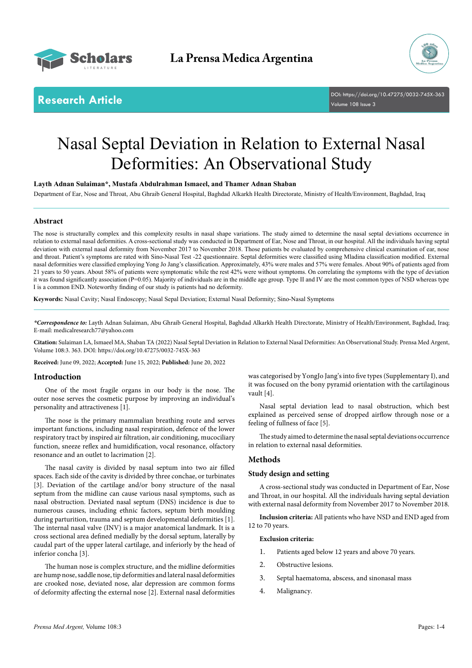



**Research Article** DOI: [https://doi.org/10.47275/0032-745X-3](https://doi.org/10.47275/0032-745X-363)63 Volume 108 Issue 3

# Nasal Septal Deviation in Relation to External Nasal Deformities: An Observational Study

**Layth Adnan Sulaiman\*, Mustafa Abdulrahman Ismaeel, and Thamer Adnan Shaban**

Department of Ear, Nose and Throat, Abu Ghraib General Hospital, Baghdad Alkarkh Health Directorate, Ministry of Health/Environment, Baghdad, Iraq

# **Abstract**

The nose is structurally complex and this complexity results in nasal shape variations. The study aimed to determine the nasal septal deviations occurrence in relation to external nasal deformities. A cross-sectional study was conducted in Department of Ear, Nose and Throat, in our hospital. All the individuals having septal deviation with external nasal deformity from November 2017 to November 2018. Those patients be evaluated by comprehensive clinical examination of ear, nose and throat. Patient's symptoms are rated with Sino-Nasal Test -22 questionnaire. Septal deformities were classified using Mladina classification modified. External nasal deformities were classified employing Yong Jo Jang's classification. Approximately, 43% were males and 57% were females. About 90% of patients aged from 21 years to 50 years. About 58% of patients were symptomatic while the rest 42% were without symptoms. On correlating the symptoms with the type of deviation it was found significantly association (P=0.05). Majority of individuals are in the middle age group. Type II and IV are the most common types of NSD whereas type I is a common END. Noteworthy finding of our study is patients had no deformity.

**Keywords:** Nasal Cavity; Nasal Endoscopy; Nasal Sepal Deviation; External Nasal Deformity; Sino-Nasal Symptoms

*\*Correspondence to:* Layth Adnan Sulaiman, Abu Ghraib General Hospital, Baghdad Alkarkh Health Directorate, Ministry of Health/Environment, Baghdad, Iraq; E-mail: medicalresearch77@yahoo.com

**Citation:** Sulaiman LA, Ismaeel MA, Shaban TA (2022) Nasal Septal Deviation in Relation to External Nasal Deformities: An Observational Study. Prensa Med Argent, Volume 108:3. 363. DOI: [https://doi.org/10.47275/0032-745X-3](https://doi.org/10.47275/0032-745X-363)63

**Received:** June 09, 2022; **Accepted:** June 15, 2022; **Published:** June 20, 2022

# **Introduction**

One of the most fragile organs in our body is the nose. The outer nose serves the cosmetic purpose by improving an individual's personality and attractiveness [1].

The nose is the primary mammalian breathing route and serves important functions, including nasal respiration, defence of the lower respiratory tract by inspired air filtration, air conditioning, mucociliary function, sneeze reflex and humidification, vocal resonance, olfactory resonance and an outlet to lacrimation [2].

The nasal cavity is divided by nasal septum into two air filled spaces. Each side of the cavity is divided by three conchae, or turbinates [3]. Deviation of the cartilage and/or bony structure of the nasal septum from the midline can cause various nasal symptoms, such as nasal obstruction. Deviated nasal septum (DNS) incidence is due to numerous causes, including ethnic factors, septum birth moulding during parturition, trauma and septum developmental deformities [1]. The internal nasal valve (INV) is a major anatomical landmark. It is a cross sectional area defined medially by the dorsal septum, laterally by caudal part of the upper lateral cartilage, and inferiorly by the head of inferior concha [3].

The human nose is complex structure, and the midline deformities are hump nose, saddle nose, tip deformities and lateral nasal deformities are crooked nose, deviated nose, alar depression are common forms of deformity affecting the external nose [2]. External nasal deformities

was categorised by YongJo Jang's into five types (Supplementary I), and it was focused on the bony pyramid orientation with the cartilaginous vault [4].

Nasal septal deviation lead to nasal obstruction, which best explained as perceived sense of dropped airflow through nose or a feeling of fullness of face [5].

The study aimed to determine the nasal septal deviations occurrence in relation to external nasal deformities.

# **Methods**

# **Study design and setting**

A cross-sectional study was conducted in Department of Ear, Nose and Throat, in our hospital. All the individuals having septal deviation with external nasal deformity from November 2017 to November 2018.

**Inclusion criteria:** All patients who have NSD and END aged from 12 to 70 years.

#### **Exclusion criteria:**

- 1. Patients aged below 12 years and above 70 years.
- 2. Obstructive lesions.
- 3. Septal haematoma, abscess, and sinonasal mass
- 4. Malignancy.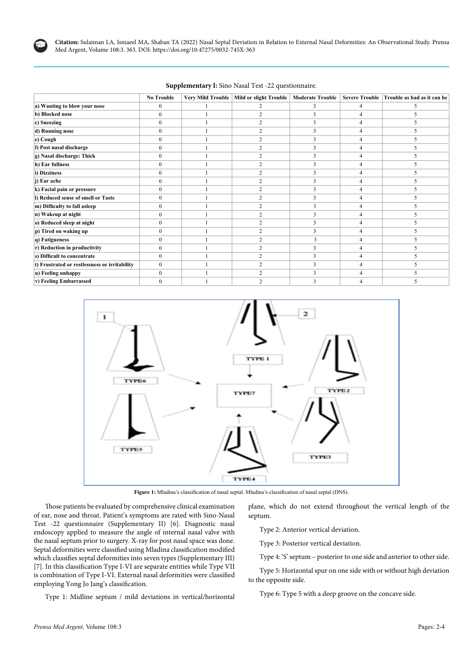

**Citation:** Sulaiman LA, Ismaeel MA, Shaban TA (2022) Nasal Septal Deviation in Relation to External Nasal Deformities: An Observational Study. Prensa Med Argent, Volume 108:3. 363. DOI: [https://doi.org/10.47275/0032-745X-3](https://doi.org/10.47275/0032-745X-363)63

|                                               | <b>No Trouble</b> |  | Very Mild Trouble   Mild or slight Trouble | <b>Moderate Trouble</b> |   | Severe Trouble Trouble as bad as it can be |
|-----------------------------------------------|-------------------|--|--------------------------------------------|-------------------------|---|--------------------------------------------|
| a) Wanting to blow your nose                  | $\mathbf{0}$      |  |                                            | 3                       |   |                                            |
| b) Blocked nose                               | 0                 |  |                                            |                         |   |                                            |
| c) Sneezing                                   | $\Omega$          |  |                                            |                         |   |                                            |
| d) Running nose                               | $\mathbf{0}$      |  |                                            | 3                       |   |                                            |
| e) Cough                                      | $\Omega$          |  |                                            | 3                       |   |                                            |
| f) Post nasal discharge                       | $\mathbf{0}$      |  | 2                                          | 3                       | 4 |                                            |
| g) Nasal discharge: Thick                     | 0                 |  |                                            | ٩                       |   |                                            |
| h) Ear fullness                               | $\Omega$          |  |                                            | 3                       |   |                                            |
| i) Dizziness                                  | $\Omega$          |  | 2                                          | 3                       |   |                                            |
| j) Ear ache                                   | $\Omega$          |  | 2                                          | 3                       |   |                                            |
| k) Facial pain or pressure                    | $\mathbf{0}$      |  | 2                                          | 3                       |   |                                            |
| I) Reduced sense of smell or Taste            | 0                 |  |                                            |                         |   |                                            |
| m) Difficulty to fall asleep                  | $\mathbf{0}$      |  |                                            |                         |   |                                            |
| n) Wakeup at night                            | $\mathbf{0}$      |  | 2                                          | 3                       |   |                                            |
| o) Reduced sleep at night                     | $\theta$          |  |                                            | 3                       |   |                                            |
| p) Tired on waking up                         | $\theta$          |  | 2                                          | 3                       |   |                                            |
| q) Fatigueness                                | $\Omega$          |  |                                            |                         |   |                                            |
| r) Reduction in productivity                  | $\theta$          |  |                                            |                         |   |                                            |
| s) Difficult to concentrate                   | $\mathbf{0}$      |  | 2                                          | 3                       |   |                                            |
| t) Frustrated or restlessness or irritability | $\mathbf{0}$      |  | 2                                          | 3                       |   |                                            |
| u) Feeling unhappy                            | $\mathbf{0}$      |  | 2                                          | 3                       |   |                                            |
| v) Feeling Embarrassed                        |                   |  |                                            |                         |   |                                            |

**Supplementary I:** Sino Nasal Test -22 questionnaire.



**Figure 1:** Mladina's classification of nasal septal. Mladina's classification of nasal septal (DNS).

Those patients be evaluated by comprehensive clinical examination of ear, nose and throat. Patient's symptoms are rated with Sino-Nasal Test -22 questionnaire (Supplementary II) [6]. Diagnostic nasal endoscopy applied to measure the angle of internal nasal valve with the nasal septum prior to surgery. X-ray for post nasal space was done. Septal deformities were classified using Mladina classification modified which classifies septal deformities into seven types (Supplementary III) [7]. In this classification Type I-VI are separate entities while Type VII is combination of Type I-VI. External nasal deformities were classified employing Yong Jo Jang's classification.

Type 1: Midline septum / mild deviations in vertical/horizontal

plane, which do not extend throughout the vertical length of the septum.

Type 2: Anterior vertical deviation.

Type 3: Posterior vertical deviation.

Type 4: 'S' septum – posterior to one side and anterior to other side.

Type 5: Horizontal spur on one side with or without high deviation to the opposite side.

Type 6: Type 5 with a deep groove on the concave side.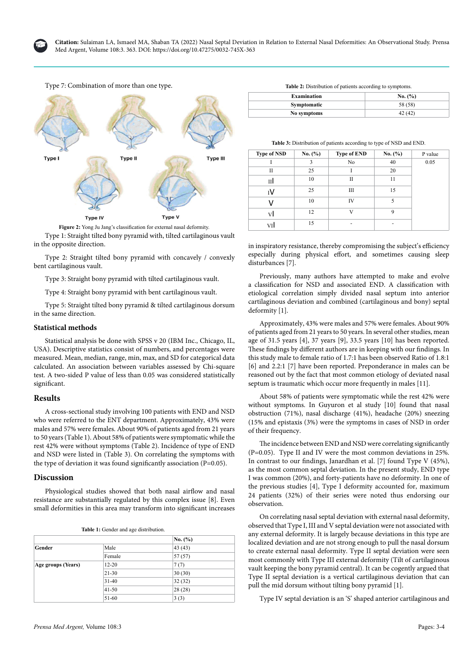





Type 1: Straight tilted bony pyramid with, tilted cartilaginous vault in the opposite direction. **Figure 2:** Yong Ju Jang's classification for external nasal deformity.

Type 2: Straight tilted bony pyramid with concavely / convexly bent cartilaginous vault.

Type 3: Straight bony pyramid with tilted cartilaginous vault.

Type 4: Straight bony pyramid with bent cartilaginous vault.

Type 5: Straight tilted bony pyramid & tilted cartilaginous dorsum in the same direction.

### **Statistical methods**

Statistical analysis be done with SPSS v 20 (IBM Inc., Chicago, IL, USA). Descriptive statistics consist of numbers, and percentages were measured. Mean, median, range, min, max, and SD for categorical data calculated. An association between variables assessed by Chi-square test. A two-sided P value of less than 0.05 was considered statistically significant.

# **Results**

A cross-sectional study involving 100 patients with END and NSD who were referred to the ENT department. Approximately, 43% were males and 57% were females. About 90% of patients aged from 21 years to 50 years (Table 1). About 58% of patients were symptomatic while the rest 42% were without symptoms (Table 2). Incidence of type of END and NSD were listed in (Table 3). On correlating the symptoms with the type of deviation it was found significantly association (P=0.05).

# **Discussion**

Physiological studies showed that both nasal airflow and nasal resistance are substantially regulated by this complex issue [8]. Even small deformities in this area may transform into significant increases

| <b>Table 1:</b> Gender and age distribution. |  |
|----------------------------------------------|--|
|----------------------------------------------|--|

|                    |           | No. (%) |
|--------------------|-----------|---------|
| Gender             | Male      | 43(43)  |
|                    | Female    | 57(57)  |
| Age groups (Years) | $12 - 20$ | 7(7)    |
|                    | $21 - 30$ | 30(30)  |
|                    | $31-40$   | 32(32)  |
|                    | $41 - 50$ | 28(28)  |
|                    | 51-60     | 3(3)    |

| <b>Table 2:</b> Distribution of patients according to symptoms. |  |
|-----------------------------------------------------------------|--|
|                                                                 |  |

| <b>Examination</b> | No. (%) |
|--------------------|---------|
| Symptomatic        | 58 (58) |
| No symptoms        | 42 (42) |

| <b>Table 3:</b> Distribution of patients according to type of NSD and END. |  |  |
|----------------------------------------------------------------------------|--|--|
|                                                                            |  |  |

| <b>Type of NSD</b> | No. $(\%)$ | <b>Type of END</b> | No. (%) | P value |
|--------------------|------------|--------------------|---------|---------|
|                    | 3          | No                 | 40      | 0.05    |
| П                  | 25         |                    | 20      |         |
| пΙ                 | 10         | П                  | 11      |         |
| ĭV                 | 25         | Ш                  | 15      |         |
| V                  | 10         | IV                 | 5       |         |
| vl                 | 12         | V                  | 9       |         |
| VI                 | 15         | -                  |         |         |

in inspiratory resistance, thereby compromising the subject's efficiency especially during physical effort, and sometimes causing sleep disturbances [7].

Previously, many authors have attempted to make and evolve a classification for NSD and associated END. A classification with etiological correlation simply divided nasal septum into anterior cartilaginous deviation and combined (cartilaginous and bony) septal deformity [1].

Approximately, 43% were males and 57% were females. About 90% of patients aged from 21 years to 50 years. In several other studies, mean age of 31.5 years [4], 37 years [9], 33.5 years [10] has been reported. These findings by different authors are in keeping with our findings. In this study male to female ratio of 1.7:1 has been observed Ratio of 1.8:1 [6] and 2.2:1 [7] have been reported. Preponderance in males can be reasoned out by the fact that most common etiology of deviated nasal septum is traumatic which occur more frequently in males [11].

About 58% of patients were symptomatic while the rest 42% were without symptoms. In Guyuron et al study [10] found that nasal obstruction (71%), nasal discharge (41%), headache (20%) sneezing (15% and epistaxis (3%) were the symptoms in cases of NSD in order of their frequency.

The incidence between END and NSD were correlating significantly (P=0.05). Type II and IV were the most common deviations in 25%. In contrast to our findings, Janardhan et al. [7] found Type V (45%), as the most common septal deviation. In the present study, END type I was common (20%), and forty-patients have no deformity. In one of the previous studies [4], Type I deformity accounted for, maximum 24 patients (32%) of their series were noted thus endorsing our observation.

On correlating nasal septal deviation with external nasal deformity, observed that Type I, III and V septal deviation were not associated with any external deformity. It is largely because deviations in this type are localized deviation and are not strong enough to pull the nasal dorsum to create external nasal deformity. Type II septal deviation were seen most commonly with Type III external deformity (Tilt of cartilaginous vault keeping the bony pyramid central). It can be cogently argued that Type II septal deviation is a vertical cartilaginous deviation that can pull the mid dorsum without tilting bony pyramid [1].

Type IV septal deviation is an 'S' shaped anterior cartilaginous and